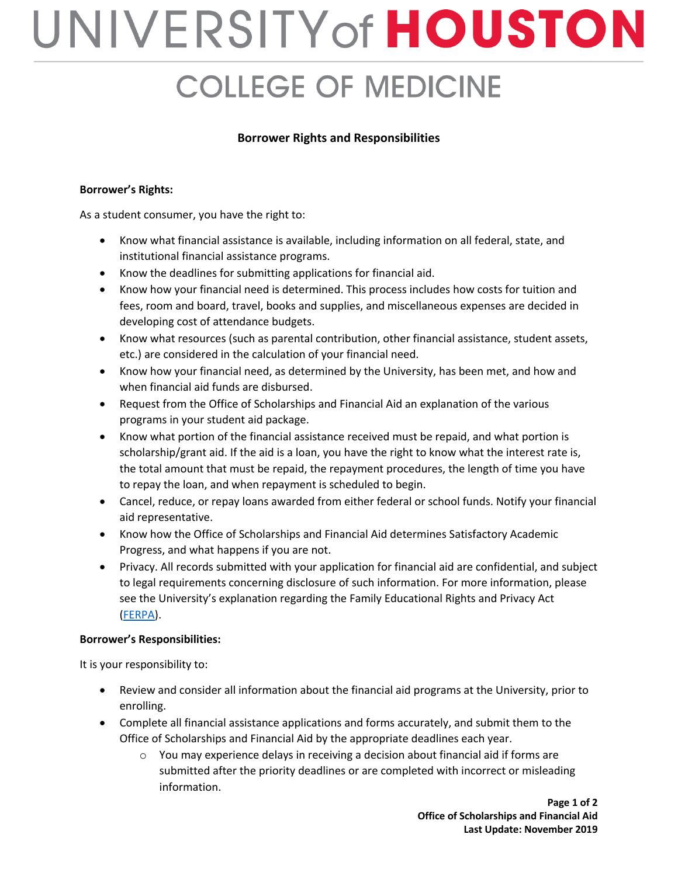## UNIVERSITY of HOUSTON **COLLEGE OF MEDICINE**

## **Borrower Rights and Responsibilities**

## **Borrower's Rights:**

As a student consumer, you have the right to:

- Know what financial assistance is available, including information on all federal, state, and institutional financial assistance programs.
- Know the deadlines for submitting applications for financial aid.
- Know how your financial need is determined. This process includes how costs for tuition and fees, room and board, travel, books and supplies, and miscellaneous expenses are decided in developing cost of attendance budgets.
- Know what resources (such as parental contribution, other financial assistance, student assets, etc.) are considered in the calculation of your financial need.
- Know how your financial need, as determined by the University, has been met, and how and when financial aid funds are disbursed.
- Request from the Office of Scholarships and Financial Aid an explanation of the various programs in your student aid package.
- Know what portion of the financial assistance received must be repaid, and what portion is scholarship/grant aid. If the aid is a loan, you have the right to know what the interest rate is, the total amount that must be repaid, the repayment procedures, the length of time you have to repay the loan, and when repayment is scheduled to begin.
- Cancel, reduce, or repay loans awarded from either federal or school funds. Notify your financial aid representative.
- Know how the Office of Scholarships and Financial Aid determines Satisfactory Academic Progress, and what happens if you are not.
- Privacy. All records submitted with your application for financial aid are confidential, and subject to legal requirements concerning disclosure of such information. For more information, please see the University's explanation regarding the Family Educational Rights and Privacy Act [\(FERPA\)](https://uh.edu/dos/parents/resources/ferpa-explanation/).

## **Borrower's Responsibilities:**

It is your responsibility to:

- Review and consider all information about the financial aid programs at the University, prior to enrolling.
- Complete all financial assistance applications and forms accurately, and submit them to the Office of Scholarships and Financial Aid by the appropriate deadlines each year.
	- $\circ$  You may experience delays in receiving a decision about financial aid if forms are submitted after the priority deadlines or are completed with incorrect or misleading information.